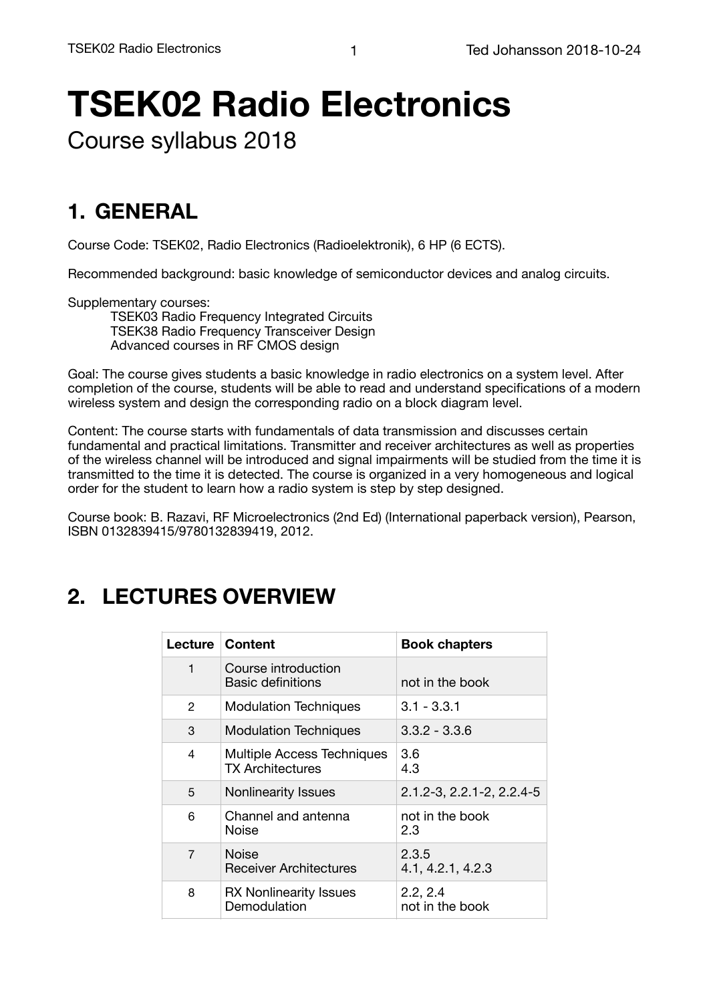# **TSEK02 Radio Electronics**

Course syllabus 2018

## **1. GENERAL**

Course Code: TSEK02, Radio Electronics (Radioelektronik), 6 HP (6 ECTS).

Recommended background: basic knowledge of semiconductor devices and analog circuits.

Supplementary courses:

TSEK03 Radio Frequency Integrated Circuits TSEK38 Radio Frequency Transceiver Design Advanced courses in RF CMOS design

Goal: The course gives students a basic knowledge in radio electronics on a system level. After completion of the course, students will be able to read and understand specifications of a modern wireless system and design the corresponding radio on a block diagram level.

Content: The course starts with fundamentals of data transmission and discusses certain fundamental and practical limitations. Transmitter and receiver architectures as well as properties of the wireless channel will be introduced and signal impairments will be studied from the time it is transmitted to the time it is detected. The course is organized in a very homogeneous and logical order for the student to learn how a radio system is step by step designed.

Course book: B. Razavi, RF Microelectronics (2nd Ed) (International paperback version), Pearson, ISBN 0132839415/9780132839419, 2012.

## **2. LECTURES OVERVIEW**

| Lecture       | <b>Content</b>                                        | <b>Book chapters</b>        |
|---------------|-------------------------------------------------------|-----------------------------|
| $\mathbf{1}$  | Course introduction<br>Basic definitions              | not in the book             |
| $\mathcal{P}$ | <b>Modulation Techniques</b>                          | $3.1 - 3.3.1$               |
| 3             | <b>Modulation Techniques</b>                          | $3.3.2 - 3.3.6$             |
| 4             | Multiple Access Techniques<br><b>TX Architectures</b> | 3.6<br>4.3                  |
| 5             | <b>Nonlinearity Issues</b>                            | 2.1.2-3, 2.2.1-2, 2.2.4-5   |
| 6             | Channel and antenna<br>Noise                          | not in the book<br>2.3      |
| 7             | Noise<br><b>Receiver Architectures</b>                | 2.3.5<br>4.1, 4.2.1, 4.2.3  |
| 8             | <b>RX Nonlinearity Issues</b><br>Demodulation         | 2.2, 2.4<br>not in the book |